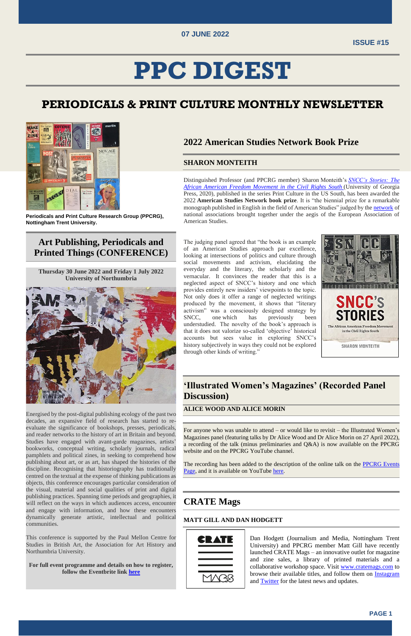

# **PPC DIGEST**

# **PERIODICALS & PRINT CULTURE MONTHLY NEWSLETTER**



**Periodicals and Print Culture Research Group (PPCRG), Nottingham Trent University.**

# **Art Publishing, Periodicals and Printed Things (CONFERENCE)**

**Thursday 30 June 2022 and Friday 1 July 2022 University of Northumbria**



Energised by the post-digital publishing ecology of the past two decades, an expansive field of research has started to reevaluate the significance of bookshops, presses, periodicals, and reader networks to the history of art in Britain and beyond. Studies have engaged with avant-garde magazines, artists' bookworks, conceptual writing, scholarly journals, radical pamphlets and political zines, in seeking to comprehend how publishing about art, or as art, has shaped the histories of the discipline. Recognising that historiography has traditionally centred on the textual at the expense of thinking publications as objects, this conference encourages particular consideration of the visual, material and social qualities of print and digital publishing practices. Spanning time periods and geographies, it will reflect on the ways in which audiences access, encounter and engage with information, and how these encounters dynamically generate artistic, intellectual and political communities.

This conference is supported by the Paul Mellon Centre for Studies in British Art, the Association for Art History and Northumbria University.

**For full event programme and details on how to register, follow the Eventbrite link [here](https://www.eventbrite.co.uk/e/art-publishing-periodicals-and-printed-things-tickets-223183506877)**

## **2022 American Studies Network Book Prize**

### **SHARON MONTEITH**

Distinguished Professor (and PPCRG member) Sharon Monteith's *[SNCC's Stories: The](https://ugapress.org/book/9780820358024/snccs-stories/)  [African American Freedom Movement in the Civil Rights South](https://ugapress.org/book/9780820358024/snccs-stories/)* (University of Georgia Press, 2020), published in the series Print Culture in the US South, has been awarded the 2022 **American Studies Network book prize**. It is "the biennial prize for a remarkable monograph published in English in the field of American Studies" judged by the [network](https://eur03.safelinks.protection.outlook.com/?url=https%3A%2F%2Feaas.eu%2Fabout-eaas%2Fconstituent-members&data=05%7C01%7Ckatie.jones02%40ntu.ac.uk%7C24d4cebb646448ad640008da29051a8d%7C8acbc2c5c8ed42c78169ba438a0dbe2f%7C1%7C0%7C637867399132646265%7CUnknown%7CTWFpbGZsb3d8eyJWIjoiMC4wLjAwMDAiLCJQIjoiV2luMzIiLCJBTiI6Ik1haWwiLCJXVCI6Mn0%3D%7C3000%7C%7C%7C&sdata=43UIbexQlJGxHyC7yBFADnDzTDP96qD8EO4b8DDvlTQ%3D&reserved=0) of national associations brought together under the aegis of the European Association of American Studies.

The judging panel agreed that "the book is an example of an American Studies approach par excellence, looking at intersections of politics and culture through social movements and activism, elucidating the everyday and the literary, the scholarly and the vernacular. It convinces the reader that this is a neglected aspect of SNCC's history and one which provides entirely new insiders' viewpoints to the topic. Not only does it offer a range of neglected writings produced by the movement, it shows that "literary activism" was a consciously designed strategy by SNCC, one which has previously been understudied. The novelty of the book's approach is that it does not valorize so-called 'objective' historical accounts but sees value in exploring SNCC's history subjectively in ways they could not be explored through other kinds of writing."



## **'Illustrated Women's Magazines' (Recorded Panel Discussion)**

#### **ALICE WOOD AND ALICE MORIN**

For anyone who was unable to attend – or would like to revisit – the Illustrated Women's Magazines panel (featuring talks by Dr Alice Wood and Dr Alice Morin on 27 April 2022), a recording of the talk (minus preliminaries and Q&A) is now available on the PPCRG website and on the PPCRG YouTube channel.

The recording has been added to the description of the online talk on the [PPCRG Events](https://periodicalsandprintculture.org/events/) 

[Page,](https://periodicalsandprintculture.org/events/) and it is available on YouTube [here.](https://www.youtube.com/watch?v=cdtjP9Kwk0w&feature=emb_imp_woyt)

# **CRATE Mags**

#### **MATT GILL AND DAN HODGETT**



Dan Hodgett (Journalism and Media, Nottingham Trent University) and PPCRG member Matt Gill have recently launched CRATE Mags – an innovative outlet for magazine and zine sales, a library of printed materials and a collaborative workshop space. Visit [www.cratemags.com](http://www.cratemags.com/) to browse their available titles, and follow them on [Instagram](https://www.instagram.com/cratemags/) and [Twitter](https://twitter.com/cratemags) for the latest news and updates.